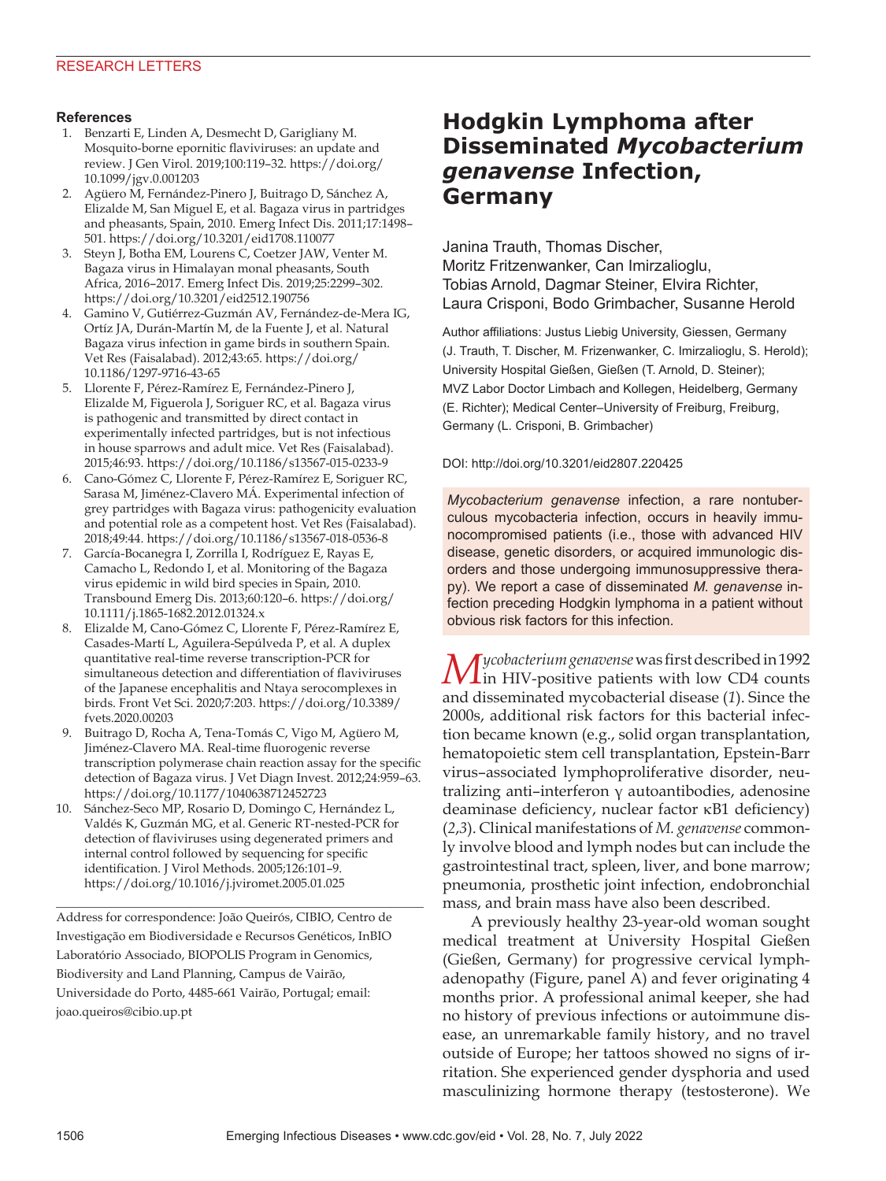### **References**

- 1. Benzarti E, Linden A, Desmecht D, Garigliany M. Mosquito-borne epornitic flaviviruses: an update and review. J Gen Virol. 2019;100:119–32. https://doi.org/ 10.1099/jgv.0.001203
- 2. Agüero M, Fernández-Pinero J, Buitrago D, Sánchez A, Elizalde M, San Miguel E, et al. Bagaza virus in partridges and pheasants, Spain, 2010. Emerg Infect Dis. 2011;17:1498– 501. https://doi.org/10.3201/eid1708.110077
- 3. Steyn J, Botha EM, Lourens C, Coetzer JAW, Venter M. Bagaza virus in Himalayan monal pheasants, South Africa, 2016–2017. Emerg Infect Dis. 2019;25:2299–302. https://doi.org/10.3201/eid2512.190756
- 4. Gamino V, Gutiérrez-Guzmán AV, Fernández-de-Mera IG, Ortíz JA, Durán-Martín M, de la Fuente J, et al. Natural Bagaza virus infection in game birds in southern Spain. Vet Res (Faisalabad). 2012;43:65. https://doi.org/ 10.1186/1297-9716-43-65
- 5. Llorente F, Pérez-Ramírez E, Fernández-Pinero J, Elizalde M, Figuerola J, Soriguer RC, et al. Bagaza virus is pathogenic and transmitted by direct contact in experimentally infected partridges, but is not infectious in house sparrows and adult mice. Vet Res (Faisalabad). 2015;46:93. https://doi.org/10.1186/s13567-015-0233-9
- 6. Cano-Gómez C, Llorente F, Pérez-Ramírez E, Soriguer RC, Sarasa M, Jiménez-Clavero MÁ. Experimental infection of grey partridges with Bagaza virus: pathogenicity evaluation and potential role as a competent host. Vet Res (Faisalabad). 2018;49:44. https://doi.org/10.1186/s13567-018-0536-8
- 7. García-Bocanegra I, Zorrilla I, Rodríguez E, Rayas E, Camacho L, Redondo I, et al. Monitoring of the Bagaza virus epidemic in wild bird species in Spain, 2010. Transbound Emerg Dis. 2013;60:120–6. https://doi.org/ 10.1111/j.1865-1682.2012.01324.x
- 8. Elizalde M, Cano-Gómez C, Llorente F, Pérez-Ramírez E, Casades-Martí L, Aguilera-Sepúlveda P, et al. A duplex quantitative real-time reverse transcription-PCR for simultaneous detection and differentiation of flaviviruses of the Japanese encephalitis and Ntaya serocomplexes in birds. Front Vet Sci. 2020;7:203. https://doi.org/10.3389/ fvets.2020.00203
- 9. Buitrago D, Rocha A, Tena-Tomás C, Vigo M, Agüero M, Jiménez-Clavero MA. Real-time fluorogenic reverse transcription polymerase chain reaction assay for the specific detection of Bagaza virus. J Vet Diagn Invest. 2012;24:959–63. https://doi.org/10.1177/1040638712452723
- 10. Sánchez-Seco MP, Rosario D, Domingo C, Hernández L, Valdés K, Guzmán MG, et al. Generic RT-nested-PCR for detection of flaviviruses using degenerated primers and internal control followed by sequencing for specific identification. J Virol Methods. 2005;126:101–9. https://doi.org/10.1016/j.jviromet.2005.01.025

Address for correspondence: João Queirós, CIBIO, Centro de Investigação em Biodiversidade e Recursos Genéticos, InBIO Laboratório Associado, BIOPOLIS Program in Genomics, Biodiversity and Land Planning, Campus de Vairão, Universidade do Porto, 4485-661 Vairão, Portugal; email: joao.queiros@cibio.up.pt

# **Hodgkin Lymphoma after Disseminated** *Mycobacterium genavense* **Infection, Germany**

Janina Trauth, Thomas Discher, Moritz Fritzenwanker, Can Imirzalioglu, Tobias Arnold, Dagmar Steiner, Elvira Richter, Laura Crisponi, Bodo Grimbacher, Susanne Herold

Author affiliations: Justus Liebig University, Giessen, Germany (J. Trauth, T. Discher, M. Frizenwanker, C. Imirzalioglu, S. Herold); University Hospital Gießen, Gießen (T. Arnold, D. Steiner); MVZ Labor Doctor Limbach and Kollegen, Heidelberg, Germany (E. Richter); Medical Center–University of Freiburg, Freiburg, Germany (L. Crisponi, B. Grimbacher)

#### DOI: http://doi.org/10.3201/eid2807.220425

*Mycobacterium genavense* infection, a rare nontuberculous mycobacteria infection, occurs in heavily immunocompromised patients (i.e., those with advanced HIV disease, genetic disorders, or acquired immunologic disorders and those undergoing immunosuppressive therapy). We report a case of disseminated *M. genavense* infection preceding Hodgkin lymphoma in a patient without obvious risk factors for this infection.

*Mycobacterium genavense* was first described in 1992 in HIV-positive patients with low CD4 counts and disseminated mycobacterial disease (*1*). Since the 2000s, additional risk factors for this bacterial infection became known (e.g., solid organ transplantation, hematopoietic stem cell transplantation, Epstein-Barr virus–associated lymphoproliferative disorder, neutralizing anti–interferon γ autoantibodies, adenosine deaminase deficiency, nuclear factor κB1 deficiency) (*2*,*3*). Clinical manifestations of *M. genavense* commonly involve blood and lymph nodes but can include the gastrointestinal tract, spleen, liver, and bone marrow; pneumonia, prosthetic joint infection, endobronchial mass, and brain mass have also been described.

A previously healthy 23-year-old woman sought medical treatment at University Hospital Gießen (Gießen, Germany) for progressive cervical lymphadenopathy (Figure, panel A) and fever originating 4 months prior. A professional animal keeper, she had no history of previous infections or autoimmune disease, an unremarkable family history, and no travel outside of Europe; her tattoos showed no signs of irritation. She experienced gender dysphoria and used masculinizing hormone therapy (testosterone). We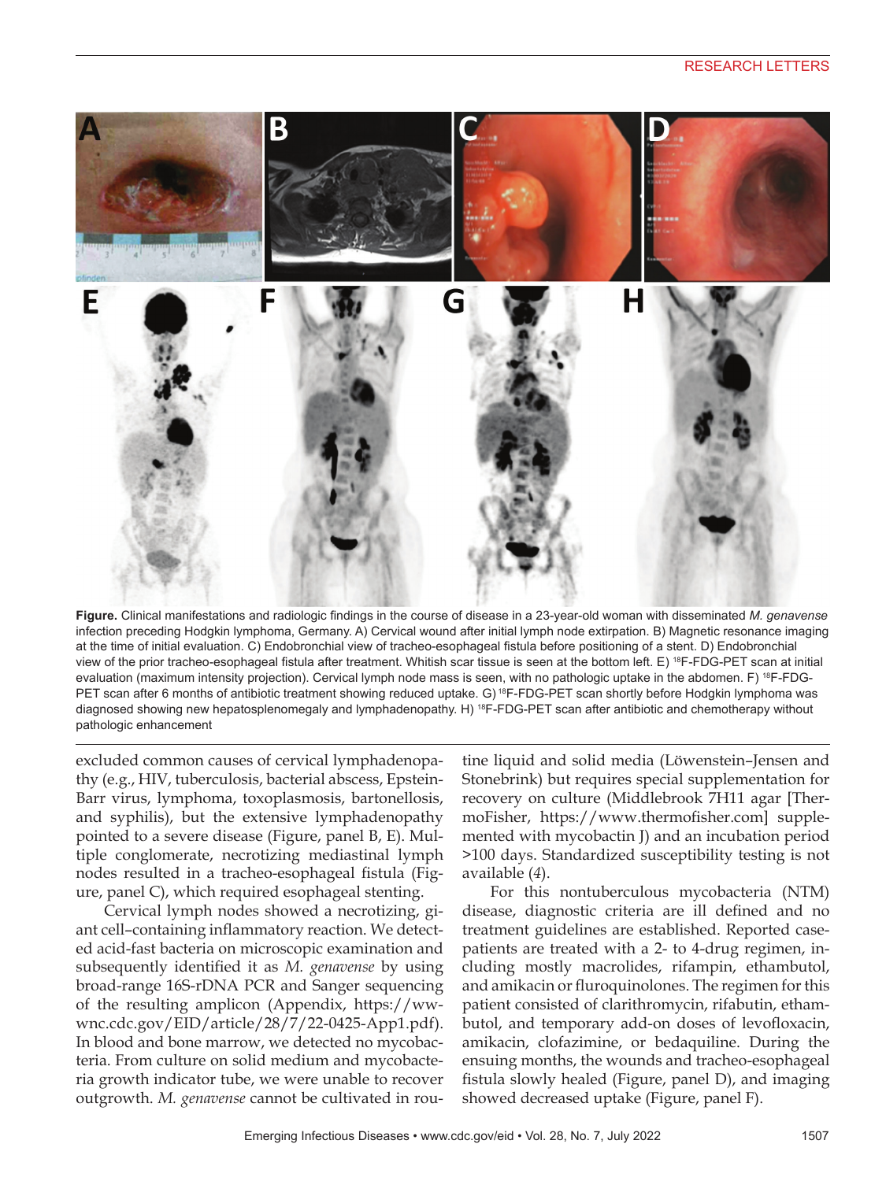

**Figure.** Clinical manifestations and radiologic findings in the course of disease in a 23-year-old woman with disseminated *M. genavense* infection preceding Hodgkin lymphoma, Germany. A) Cervical wound after initial lymph node extirpation. B) Magnetic resonance imaging at the time of initial evaluation. C) Endobronchial view of tracheo-esophageal fistula before positioning of a stent. D) Endobronchial view of the prior tracheo-esophageal fistula after treatment. Whitish scar tissue is seen at the bottom left. E) 18F-FDG-PET scan at initial evaluation (maximum intensity projection). Cervical lymph node mass is seen, with no pathologic uptake in the abdomen. F) <sup>18</sup>F-FDG-PET scan after 6 months of antibiotic treatment showing reduced uptake. G) 18F-FDG-PET scan shortly before Hodgkin lymphoma was diagnosed showing new hepatosplenomegaly and lymphadenopathy. H) <sup>18</sup>F-FDG-PET scan after antibiotic and chemotherapy without pathologic enhancement

excluded common causes of cervical lymphadenopathy (e.g., HIV, tuberculosis, bacterial abscess, Epstein-Barr virus, lymphoma, toxoplasmosis, bartonellosis, and syphilis), but the extensive lymphadenopathy pointed to a severe disease (Figure, panel B, E). Multiple conglomerate, necrotizing mediastinal lymph nodes resulted in a tracheo-esophageal fistula (Figure, panel C), which required esophageal stenting.

Cervical lymph nodes showed a necrotizing, giant cell–containing inflammatory reaction. We detected acid-fast bacteria on microscopic examination and subsequently identified it as *M. genavense* by using broad-range 16S-rDNA PCR and Sanger sequencing of the resulting amplicon (Appendix, https://wwwnc.cdc.gov/EID/article/28/7/22-0425-App1.pdf). In blood and bone marrow, we detected no mycobacteria. From culture on solid medium and mycobacteria growth indicator tube, we were unable to recover outgrowth. *M. genavense* cannot be cultivated in rou-

tine liquid and solid media (Löwenstein–Jensen and Stonebrink) but requires special supplementation for recovery on culture (Middlebrook 7H11 agar [ThermoFisher, https://www.thermofisher.com] supplemented with mycobactin J) and an incubation period >100 days. Standardized susceptibility testing is not available (*4*).

For this nontuberculous mycobacteria (NTM) disease, diagnostic criteria are ill defined and no treatment guidelines are established. Reported casepatients are treated with a 2- to 4-drug regimen, including mostly macrolides, rifampin, ethambutol, and amikacin or fluroquinolones. The regimen for this patient consisted of clarithromycin, rifabutin, ethambutol, and temporary add-on doses of levofloxacin, amikacin, clofazimine, or bedaquiline. During the ensuing months, the wounds and tracheo-esophageal fistula slowly healed (Figure, panel D), and imaging showed decreased uptake (Figure, panel F).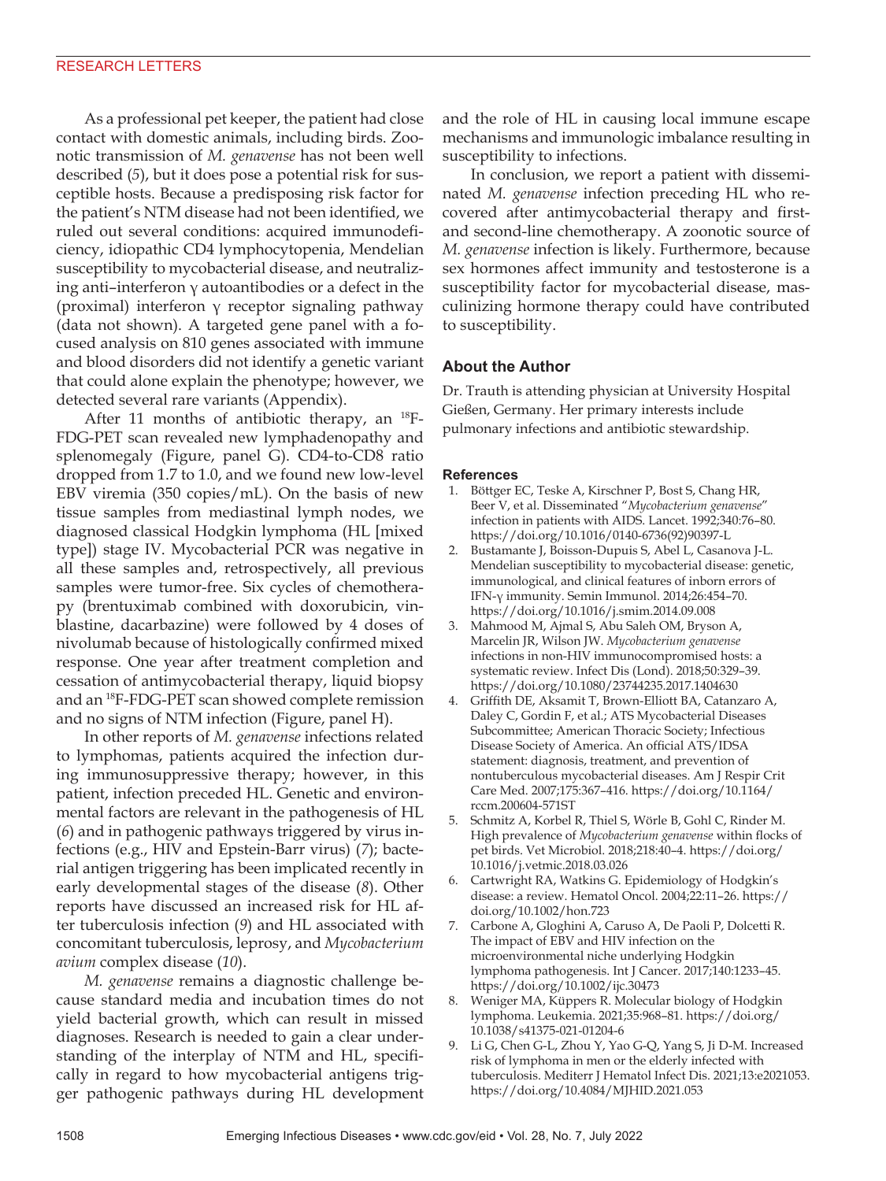As a professional pet keeper, the patient had close contact with domestic animals, including birds. Zoonotic transmission of *M. genavense* has not been well described (*5*), but it does pose a potential risk for susceptible hosts. Because a predisposing risk factor for the patient's NTM disease had not been identified, we ruled out several conditions: acquired immunodeficiency, idiopathic CD4 lymphocytopenia, Mendelian susceptibility to mycobacterial disease, and neutralizing anti–interferon γ autoantibodies or a defect in the (proximal) interferon γ receptor signaling pathway (data not shown). A targeted gene panel with a focused analysis on 810 genes associated with immune and blood disorders did not identify a genetic variant that could alone explain the phenotype; however, we detected several rare variants (Appendix).

After 11 months of antibiotic therapy, an <sup>18</sup>F-FDG-PET scan revealed new lymphadenopathy and splenomegaly (Figure, panel G). CD4-to-CD8 ratio dropped from 1.7 to 1.0, and we found new low-level EBV viremia (350 copies/mL). On the basis of new tissue samples from mediastinal lymph nodes, we diagnosed classical Hodgkin lymphoma (HL [mixed type]) stage IV. Mycobacterial PCR was negative in all these samples and, retrospectively, all previous samples were tumor-free. Six cycles of chemotherapy (brentuximab combined with doxorubicin, vinblastine, dacarbazine) were followed by 4 doses of nivolumab because of histologically confirmed mixed response. One year after treatment completion and cessation of antimycobacterial therapy, liquid biopsy and an 18F-FDG-PET scan showed complete remission and no signs of NTM infection (Figure, panel H).

In other reports of *M. genavense* infections related to lymphomas, patients acquired the infection during immunosuppressive therapy; however, in this patient, infection preceded HL. Genetic and environmental factors are relevant in the pathogenesis of HL (*6*) and in pathogenic pathways triggered by virus infections (e.g., HIV and Epstein-Barr virus) (*7*); bacterial antigen triggering has been implicated recently in early developmental stages of the disease (*8*). Other reports have discussed an increased risk for HL after tuberculosis infection (*9*) and HL associated with concomitant tuberculosis, leprosy, and *Mycobacterium avium* complex disease (*10*).

*M. genavense* remains a diagnostic challenge because standard media and incubation times do not yield bacterial growth, which can result in missed diagnoses. Research is needed to gain a clear understanding of the interplay of NTM and HL, specifically in regard to how mycobacterial antigens trigger pathogenic pathways during HL development

and the role of HL in causing local immune escape mechanisms and immunologic imbalance resulting in susceptibility to infections.

In conclusion, we report a patient with disseminated *M. genavense* infection preceding HL who recovered after antimycobacterial therapy and firstand second-line chemotherapy. A zoonotic source of *M. genavense* infection is likely. Furthermore, because sex hormones affect immunity and testosterone is a susceptibility factor for mycobacterial disease, masculinizing hormone therapy could have contributed to susceptibility.

## **About the Author**

Dr. Trauth is attending physician at University Hospital Gießen, Germany. Her primary interests include pulmonary infections and antibiotic stewardship.

### **References**

- 1. Böttger EC, Teske A, Kirschner P, Bost S, Chang HR, Beer V, et al. Disseminated "*Mycobacterium genavense*" infection in patients with AIDS. Lancet. 1992;340:76–80. https://doi.org/10.1016/0140-6736(92)90397-L
- 2. Bustamante J, Boisson-Dupuis S, Abel L, Casanova J-L. Mendelian susceptibility to mycobacterial disease: genetic, immunological, and clinical features of inborn errors of IFN-γ immunity. Semin Immunol. 2014;26:454–70. https://doi.org/10.1016/j.smim.2014.09.008
- 3. Mahmood M, Ajmal S, Abu Saleh OM, Bryson A, Marcelin JR, Wilson JW. *Mycobacterium genavense* infections in non-HIV immunocompromised hosts: a systematic review. Infect Dis (Lond). 2018;50:329–39. https://doi.org/10.1080/23744235.2017.1404630
- 4. Griffith DE, Aksamit T, Brown-Elliott BA, Catanzaro A, Daley C, Gordin F, et al.; ATS Mycobacterial Diseases Subcommittee; American Thoracic Society; Infectious Disease Society of America. An official ATS/IDSA statement: diagnosis, treatment, and prevention of nontuberculous mycobacterial diseases. Am J Respir Crit Care Med. 2007;175:367–416. https://doi.org/10.1164/ rccm.200604-571ST
- 5. Schmitz A, Korbel R, Thiel S, Wörle B, Gohl C, Rinder M. High prevalence of *Mycobacterium genavense* within flocks of pet birds. Vet Microbiol. 2018;218:40–4. https://doi.org/ 10.1016/j.vetmic.2018.03.026
- 6. Cartwright RA, Watkins G. Epidemiology of Hodgkin's disease: a review. Hematol Oncol. 2004;22:11–26. https:// doi.org/10.1002/hon.723
- 7. Carbone A, Gloghini A, Caruso A, De Paoli P, Dolcetti R. The impact of EBV and HIV infection on the microenvironmental niche underlying Hodgkin lymphoma pathogenesis. Int J Cancer. 2017;140:1233–45. https://doi.org/10.1002/ijc.30473
- 8. Weniger MA, Küppers R. Molecular biology of Hodgkin lymphoma. Leukemia. 2021;35:968–81. https://doi.org/ 10.1038/s41375-021-01204-6
- 9. Li G, Chen G-L, Zhou Y, Yao G-Q, Yang S, Ji D-M. Increased risk of lymphoma in men or the elderly infected with tuberculosis. Mediterr J Hematol Infect Dis. 2021;13:e2021053. https://doi.org/10.4084/MJHID.2021.053